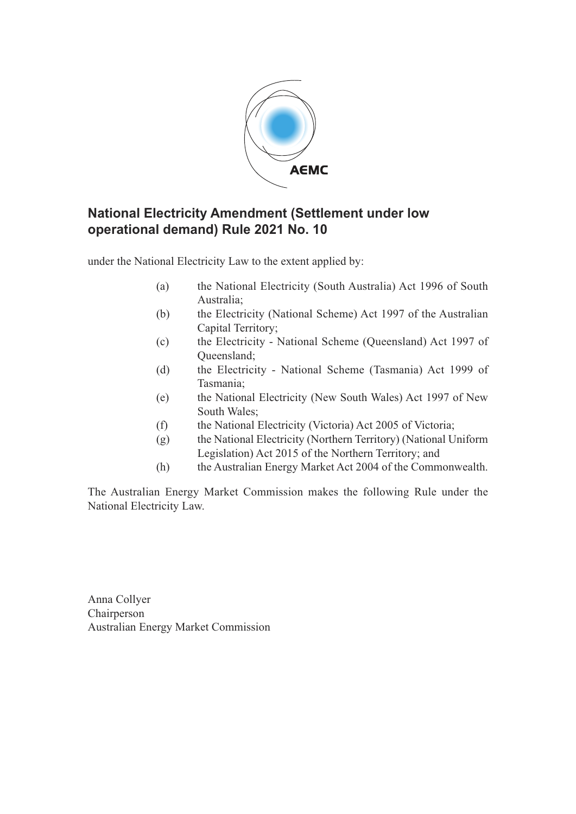

### **National Electricity Amendment (Settlement under low operational demand) Rule 2021 No. 10**

under the National Electricity Law to the extent applied by:

- (a) the National Electricity (South Australia) Act 1996 of South Australia;
- (b) the Electricity (National Scheme) Act 1997 of the Australian Capital Territory;
- (c) the Electricity National Scheme (Queensland) Act 1997 of Queensland;
- (d) the Electricity National Scheme (Tasmania) Act 1999 of Tasmania;
- (e) the National Electricity (New South Wales) Act 1997 of New South Wales;
- (f) the National Electricity (Victoria) Act 2005 of Victoria;
- (g) the National Electricity (Northern Territory) (National Uniform Legislation) Act 2015 of the Northern Territory; and
- (h) the Australian Energy Market Act 2004 of the Commonwealth.

The Australian Energy Market Commission makes the following Rule under the National Electricity Law.

Anna Collyer Chairperson Australian Energy Market Commission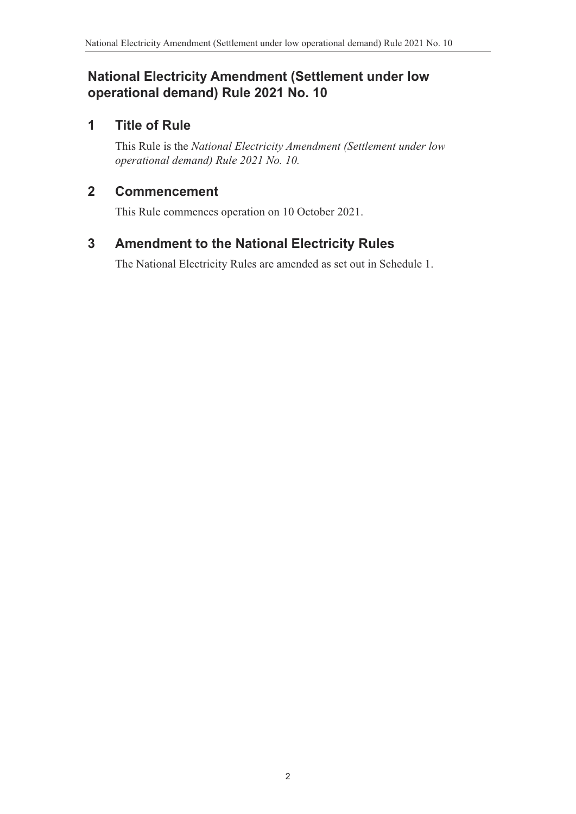## **National Electricity Amendment (Settlement under low operational demand) Rule 2021 No. 10**

# **1 Title of Rule**

This Rule is the *National Electricity Amendment (Settlement under low operational demand) Rule 2021 No. 10.*

## **2 Commencement**

This Rule commences operation on 10 October 2021.

# **3 Amendment to the National Electricity Rules**

<span id="page-1-0"></span>The National Electricity Rules are amended as set out in Schedule 1.